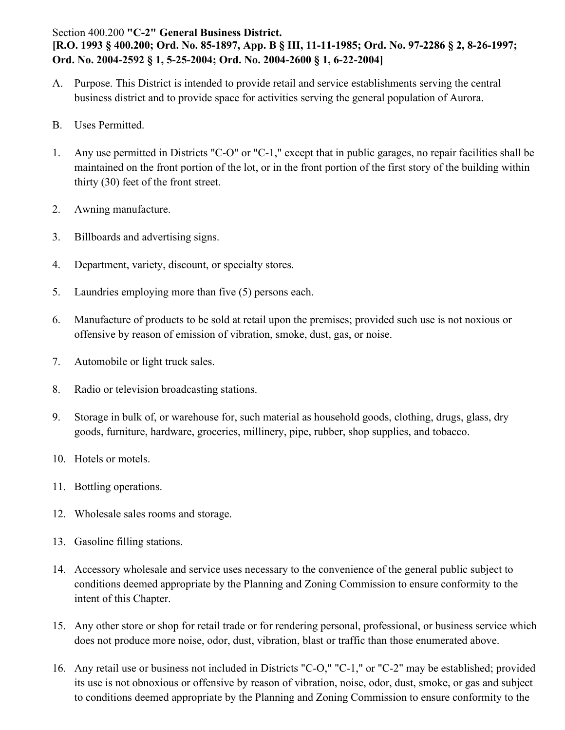## Section 400.200 **"C-2" General Business District. [R.O. 1993 § 400.200; Ord. No. 85-1897, App. B § III, 11-11-1985; Ord. No. 97-2286 § 2, 8-26-1997; Ord. No. 2004-2592 § 1, 5-25-2004; Ord. No. 2004-2600 § 1, 6-22-2004]**

- A. Purpose. This District is intended to provide retail and service establishments serving the central business district and to provide space for activities serving the general population of Aurora.
- B. Uses Permitted.
- 1. Any use permitted in Districts "C-O" or "C-1," except that in public garages, no repair facilities shall be maintained on the front portion of the lot, or in the front portion of the first story of the building within thirty (30) feet of the front street.
- 2. Awning manufacture.
- 3. Billboards and advertising signs.
- 4. Department, variety, discount, or specialty stores.
- 5. Laundries employing more than five (5) persons each.
- 6. Manufacture of products to be sold at retail upon the premises; provided such use is not noxious or offensive by reason of emission of vibration, smoke, dust, gas, or noise.
- 7. Automobile or light truck sales.
- 8. Radio or television broadcasting stations.
- 9. Storage in bulk of, or warehouse for, such material as household goods, clothing, drugs, glass, dry goods, furniture, hardware, groceries, millinery, pipe, rubber, shop supplies, and tobacco.
- 10. Hotels or motels.
- 11. Bottling operations.
- 12. Wholesale sales rooms and storage.
- 13. Gasoline filling stations.
- 14. Accessory wholesale and service uses necessary to the convenience of the general public subject to conditions deemed appropriate by the Planning and Zoning Commission to ensure conformity to the intent of this Chapter.
- 15. Any other store or shop for retail trade or for rendering personal, professional, or business service which does not produce more noise, odor, dust, vibration, blast or traffic than those enumerated above.
- 16. Any retail use or business not included in Districts "C-O," "C-1," or "C-2" may be established; provided its use is not obnoxious or offensive by reason of vibration, noise, odor, dust, smoke, or gas and subject to conditions deemed appropriate by the Planning and Zoning Commission to ensure conformity to the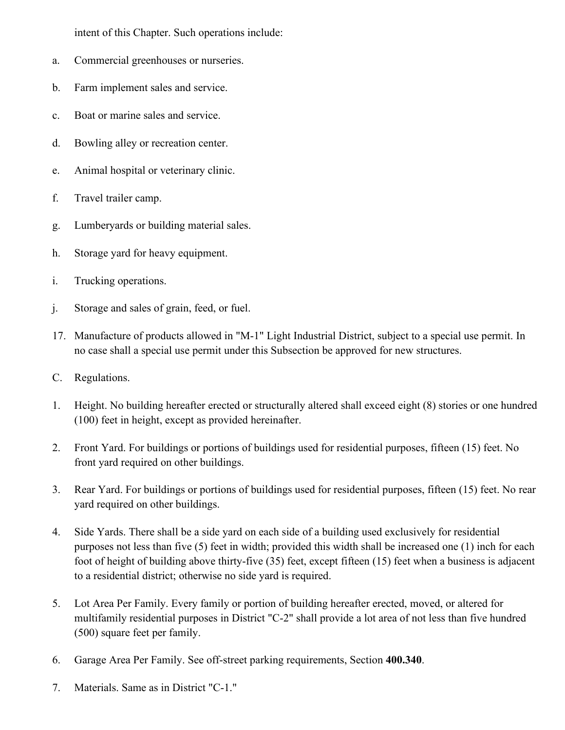intent of this Chapter. Such operations include:

- a. Commercial greenhouses or nurseries.
- b. Farm implement sales and service.
- c. Boat or marine sales and service.
- d. Bowling alley or recreation center.
- e. Animal hospital or veterinary clinic.
- f. Travel trailer camp.
- g. Lumberyards or building material sales.
- h. Storage yard for heavy equipment.
- i. Trucking operations.
- j. Storage and sales of grain, feed, or fuel.
- 17. Manufacture of products allowed in "M-1" Light Industrial District, subject to a special use permit. In no case shall a special use permit under this Subsection be approved for new structures.
- C. Regulations.
- 1. Height. No building hereafter erected or structurally altered shall exceed eight (8) stories or one hundred (100) feet in height, except as provided hereinafter.
- 2. Front Yard. For buildings or portions of buildings used for residential purposes, fifteen (15) feet. No front yard required on other buildings.
- 3. Rear Yard. For buildings or portions of buildings used for residential purposes, fifteen (15) feet. No rear yard required on other buildings.
- 4. Side Yards. There shall be a side yard on each side of a building used exclusively for residential purposes not less than five (5) feet in width; provided this width shall be increased one (1) inch for each foot of height of building above thirty-five (35) feet, except fifteen (15) feet when a business is adjacent to a residential district; otherwise no side yard is required.
- 5. Lot Area Per Family. Every family or portion of building hereafter erected, moved, or altered for multifamily residential purposes in District "C-2" shall provide a lot area of not less than five hundred (500) square feet per family.
- 6. Garage Area Per Family. See off-street parking requirements, Section **400.340**.
- 7. Materials. Same as in District "C-1."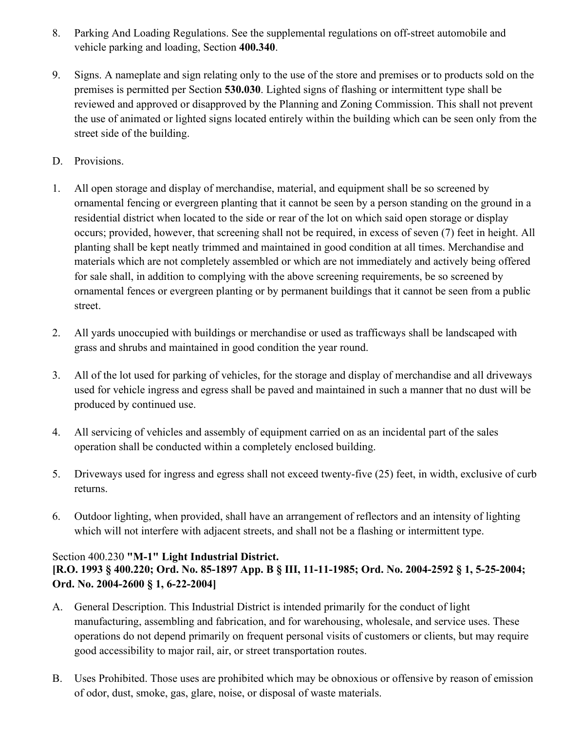- 8. Parking And Loading Regulations. See the supplemental regulations on off-street automobile and vehicle parking and loading, Section **400.340**.
- 9. Signs. A nameplate and sign relating only to the use of the store and premises or to products sold on the premises is permitted per Section **530.030**. Lighted signs of flashing or intermittent type shall be reviewed and approved or disapproved by the Planning and Zoning Commission. This shall not prevent the use of animated or lighted signs located entirely within the building which can be seen only from the street side of the building.
- D. Provisions.
- 1. All open storage and display of merchandise, material, and equipment shall be so screened by ornamental fencing or evergreen planting that it cannot be seen by a person standing on the ground in a residential district when located to the side or rear of the lot on which said open storage or display occurs; provided, however, that screening shall not be required, in excess of seven (7) feet in height. All planting shall be kept neatly trimmed and maintained in good condition at all times. Merchandise and materials which are not completely assembled or which are not immediately and actively being offered for sale shall, in addition to complying with the above screening requirements, be so screened by ornamental fences or evergreen planting or by permanent buildings that it cannot be seen from a public street.
- 2. All yards unoccupied with buildings or merchandise or used as trafficways shall be landscaped with grass and shrubs and maintained in good condition the year round.
- 3. All of the lot used for parking of vehicles, for the storage and display of merchandise and all driveways used for vehicle ingress and egress shall be paved and maintained in such a manner that no dust will be produced by continued use.
- 4. All servicing of vehicles and assembly of equipment carried on as an incidental part of the sales operation shall be conducted within a completely enclosed building.
- 5. Driveways used for ingress and egress shall not exceed twenty-five (25) feet, in width, exclusive of curb returns.
- 6. Outdoor lighting, when provided, shall have an arrangement of reflectors and an intensity of lighting which will not interfere with adjacent streets, and shall not be a flashing or intermittent type.

## Section 400.230 **"M-1" Light Industrial District. [R.O. 1993 § 400.220; Ord. No. 85-1897 App. B § III, 11-11-1985; Ord. No. 2004-2592 § 1, 5-25-2004; Ord. No. 2004-2600 § 1, 6-22-2004]**

- A. General Description. This Industrial District is intended primarily for the conduct of light manufacturing, assembling and fabrication, and for warehousing, wholesale, and service uses. These operations do not depend primarily on frequent personal visits of customers or clients, but may require good accessibility to major rail, air, or street transportation routes.
- B. Uses Prohibited. Those uses are prohibited which may be obnoxious or offensive by reason of emission of odor, dust, smoke, gas, glare, noise, or disposal of waste materials.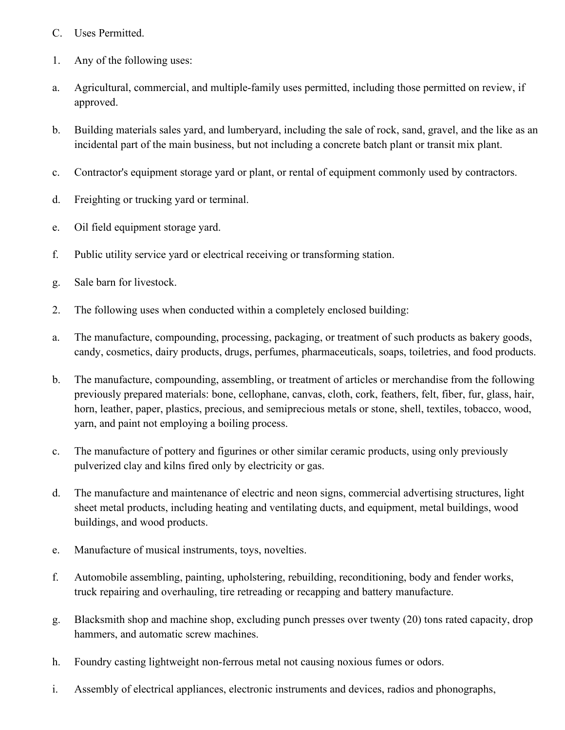- C. Uses Permitted.
- 1. Any of the following uses:
- a. Agricultural, commercial, and multiple-family uses permitted, including those permitted on review, if approved.
- b. Building materials sales yard, and lumberyard, including the sale of rock, sand, gravel, and the like as an incidental part of the main business, but not including a concrete batch plant or transit mix plant.
- c. Contractor's equipment storage yard or plant, or rental of equipment commonly used by contractors.
- d. Freighting or trucking yard or terminal.
- e. Oil field equipment storage yard.
- f. Public utility service yard or electrical receiving or transforming station.
- g. Sale barn for livestock.
- 2. The following uses when conducted within a completely enclosed building:
- a. The manufacture, compounding, processing, packaging, or treatment of such products as bakery goods, candy, cosmetics, dairy products, drugs, perfumes, pharmaceuticals, soaps, toiletries, and food products.
- b. The manufacture, compounding, assembling, or treatment of articles or merchandise from the following previously prepared materials: bone, cellophane, canvas, cloth, cork, feathers, felt, fiber, fur, glass, hair, horn, leather, paper, plastics, precious, and semiprecious metals or stone, shell, textiles, tobacco, wood, yarn, and paint not employing a boiling process.
- c. The manufacture of pottery and figurines or other similar ceramic products, using only previously pulverized clay and kilns fired only by electricity or gas.
- d. The manufacture and maintenance of electric and neon signs, commercial advertising structures, light sheet metal products, including heating and ventilating ducts, and equipment, metal buildings, wood buildings, and wood products.
- e. Manufacture of musical instruments, toys, novelties.
- f. Automobile assembling, painting, upholstering, rebuilding, reconditioning, body and fender works, truck repairing and overhauling, tire retreading or recapping and battery manufacture.
- g. Blacksmith shop and machine shop, excluding punch presses over twenty (20) tons rated capacity, drop hammers, and automatic screw machines.
- h. Foundry casting lightweight non-ferrous metal not causing noxious fumes or odors.
- i. Assembly of electrical appliances, electronic instruments and devices, radios and phonographs,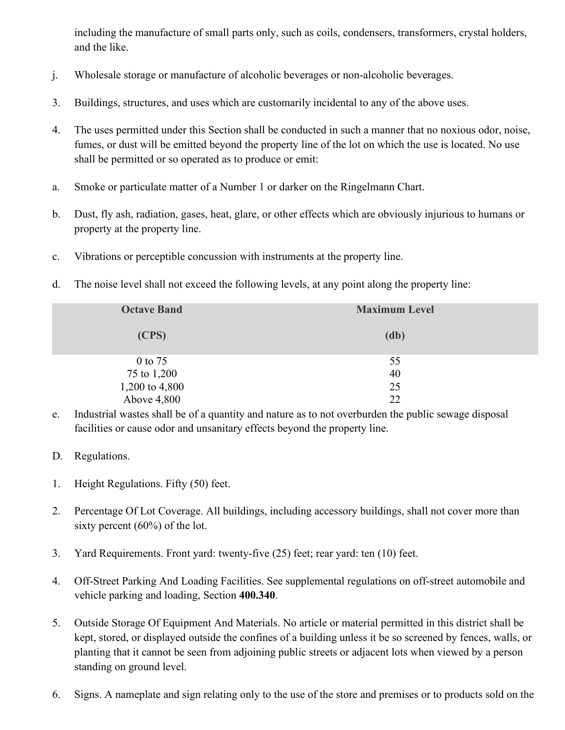including the manufacture of small parts only, such as coils, condensers, transformers, crystal holders, and the like.

- j. Wholesale storage or manufacture of alcoholic beverages or non-alcoholic beverages.
- 3. Buildings, structures, and uses which are customarily incidental to any of the above uses.
- 4. The uses permitted under this Section shall be conducted in such a manner that no noxious odor, noise, fumes, or dust will be emitted beyond the property line of the lot on which the use is located. No use shall be permitted or so operated as to produce or emit:
- a. Smoke or particulate matter of a Number 1 or darker on the Ringelmann Chart.
- b. Dust, fly ash, radiation, gases, heat, glare, or other effects which are obviously injurious to humans or property at the property line.
- c. Vibrations or perceptible concussion with instruments at the property line.
- d. The noise level shall not exceed the following levels, at any point along the property line:

| <b>Octave Band</b> | <b>Maximum Level</b> |
|--------------------|----------------------|
| (CPS)              | (db)                 |
| $0$ to 75          | 55                   |
| 75 to 1,200        | 40                   |
| 1,200 to 4,800     | 25                   |
| Above 4,800        | 22                   |

- e. Industrial wastes shall be of a quantity and nature as to not overburden the public sewage disposal facilities or cause odor and unsanitary effects beyond the property line.
- D. Regulations.
- 1. Height Regulations. Fifty (50) feet.
- 2. Percentage Of Lot Coverage. All buildings, including accessory buildings, shall not cover more than sixty percent (60%) of the lot.
- 3. Yard Requirements. Front yard: twenty-five (25) feet; rear yard: ten (10) feet.
- 4. Off-Street Parking And Loading Facilities. See supplemental regulations on off-street automobile and vehicle parking and loading, Section **400.340**.
- 5. Outside Storage Of Equipment And Materials. No article or material permitted in this district shall be kept, stored, or displayed outside the confines of a building unless it be so screened by fences, walls, or planting that it cannot be seen from adjoining public streets or adjacent lots when viewed by a person standing on ground level.
- 6. Signs. A nameplate and sign relating only to the use of the store and premises or to products sold on the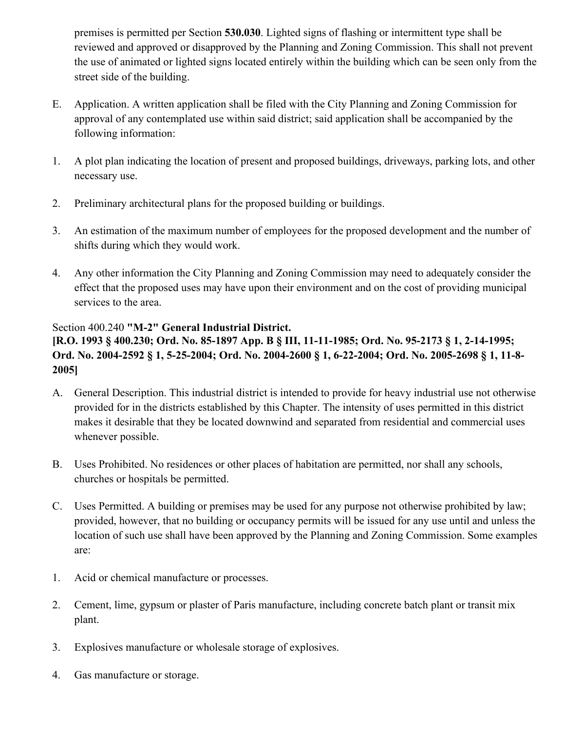premises is permitted per Section **530.030**. Lighted signs of flashing or intermittent type shall be reviewed and approved or disapproved by the Planning and Zoning Commission. This shall not prevent the use of animated or lighted signs located entirely within the building which can be seen only from the street side of the building.

- E. Application. A written application shall be filed with the City Planning and Zoning Commission for approval of any contemplated use within said district; said application shall be accompanied by the following information:
- 1. A plot plan indicating the location of present and proposed buildings, driveways, parking lots, and other necessary use.
- 2. Preliminary architectural plans for the proposed building or buildings.
- 3. An estimation of the maximum number of employees for the proposed development and the number of shifts during which they would work.
- 4. Any other information the City Planning and Zoning Commission may need to adequately consider the effect that the proposed uses may have upon their environment and on the cost of providing municipal services to the area.

## Section 400.240 **"M-2" General Industrial District.**

## **[R.O. 1993 § 400.230; Ord. No. 85-1897 App. B § III, 11-11-1985; Ord. No. 95-2173 § 1, 2-14-1995; Ord. No. 2004-2592 § 1, 5-25-2004; Ord. No. 2004-2600 § 1, 6-22-2004; Ord. No. 2005-2698 § 1, 11-8- 2005]**

- A. General Description. This industrial district is intended to provide for heavy industrial use not otherwise provided for in the districts established by this Chapter. The intensity of uses permitted in this district makes it desirable that they be located downwind and separated from residential and commercial uses whenever possible.
- B. Uses Prohibited. No residences or other places of habitation are permitted, nor shall any schools, churches or hospitals be permitted.
- C. Uses Permitted. A building or premises may be used for any purpose not otherwise prohibited by law; provided, however, that no building or occupancy permits will be issued for any use until and unless the location of such use shall have been approved by the Planning and Zoning Commission. Some examples are:
- 1. Acid or chemical manufacture or processes.
- 2. Cement, lime, gypsum or plaster of Paris manufacture, including concrete batch plant or transit mix plant.
- 3. Explosives manufacture or wholesale storage of explosives.
- 4. Gas manufacture or storage.